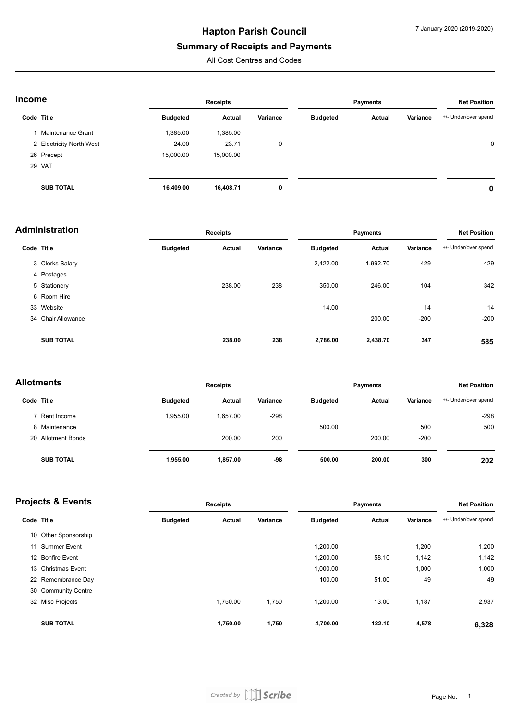## **Hapton Parish Council**

#### **Summary of Receipts and Payments**

All Cost Centres and Codes

| Income     |                          | Receipts        |           |          | <b>Payments</b> |        |          | <b>Net Position</b>  |  |
|------------|--------------------------|-----------------|-----------|----------|-----------------|--------|----------|----------------------|--|
| Code Title |                          | <b>Budgeted</b> | Actual    | Variance | <b>Budgeted</b> | Actual | Variance | +/- Under/over spend |  |
|            | Maintenance Grant        | 1,385.00        | 1,385.00  |          |                 |        |          |                      |  |
|            | 2 Electricity North West | 24.00           | 23.71     | 0        |                 |        |          | $\mathbf 0$          |  |
|            | 26 Precept               | 15,000.00       | 15,000.00 |          |                 |        |          |                      |  |
|            | 29 VAT                   |                 |           |          |                 |        |          |                      |  |
|            | <b>SUB TOTAL</b>         | 16,409.00       | 16,408.71 | 0        |                 |        |          | 0                    |  |

| <b>Administration</b> |                    | <b>Receipts</b> |               |          | <b>Payments</b> |               |          | <b>Net Position</b>  |  |
|-----------------------|--------------------|-----------------|---------------|----------|-----------------|---------------|----------|----------------------|--|
| Code Title            |                    | <b>Budgeted</b> | <b>Actual</b> | Variance | <b>Budgeted</b> | <b>Actual</b> | Variance | +/- Under/over spend |  |
|                       | 3 Clerks Salary    |                 |               |          | 2,422.00        | 1,992.70      | 429      | 429                  |  |
|                       | 4 Postages         |                 |               |          |                 |               |          |                      |  |
|                       | 5 Stationery       |                 | 238.00        | 238      | 350.00          | 246.00        | 104      | 342                  |  |
|                       | 6 Room Hire        |                 |               |          |                 |               |          |                      |  |
|                       | 33 Website         |                 |               |          | 14.00           |               | 14       | 14                   |  |
|                       | 34 Chair Allowance |                 |               |          |                 | 200.00        | $-200$   | $-200$               |  |
|                       | <b>SUB TOTAL</b>   |                 | 238.00        | 238      | 2,786.00        | 2,438.70      | 347      | 585                  |  |

#### **Allotments Receipts Payments Net Position**

| Code Title         |  | <b>Budgeted</b> | Actual   | Variance | <b>Budgeted</b> | Actual | Variance | +/- Under/over spend |
|--------------------|--|-----------------|----------|----------|-----------------|--------|----------|----------------------|
| 7 Rent Income      |  | 1.955.00        | .657.00  | $-298$   |                 |        |          | $-298$               |
| 8 Maintenance      |  |                 |          |          | 500.00          |        | 500      | 500                  |
| 20 Allotment Bonds |  |                 | 200.00   | 200      |                 | 200.00 | $-200$   |                      |
| <b>SUB TOTAL</b>   |  | 1,955.00        | 1,857.00 | -98      | 500.00          | 200.00 | 300      | 202                  |

| <b>Projects &amp; Events</b> |                      | Receipts        |          |          | <b>Payments</b> |        |          | <b>Net Position</b>  |  |
|------------------------------|----------------------|-----------------|----------|----------|-----------------|--------|----------|----------------------|--|
| Code Title                   |                      | <b>Budgeted</b> | Actual   | Variance | <b>Budgeted</b> | Actual | Variance | +/- Under/over spend |  |
|                              | 10 Other Sponsorship |                 |          |          |                 |        |          |                      |  |
|                              | 11 Summer Event      |                 |          |          | 1,200.00        |        | 1,200    | 1,200                |  |
|                              | 12 Bonfire Event     |                 |          |          | 1,200.00        | 58.10  | 1,142    | 1,142                |  |
|                              | 13 Christmas Event   |                 |          |          | 1,000.00        |        | 1,000    | 1,000                |  |
|                              | 22 Remembrance Day   |                 |          |          | 100.00          | 51.00  | 49       | 49                   |  |
|                              | 30 Community Centre  |                 |          |          |                 |        |          |                      |  |
|                              | 32 Misc Projects     |                 | 1,750.00 | 1,750    | 1,200.00        | 13.00  | 1,187    | 2,937                |  |
|                              | <b>SUB TOTAL</b>     |                 | 1,750.00 | 1,750    | 4,700.00        | 122.10 | 4,578    | 6,328                |  |